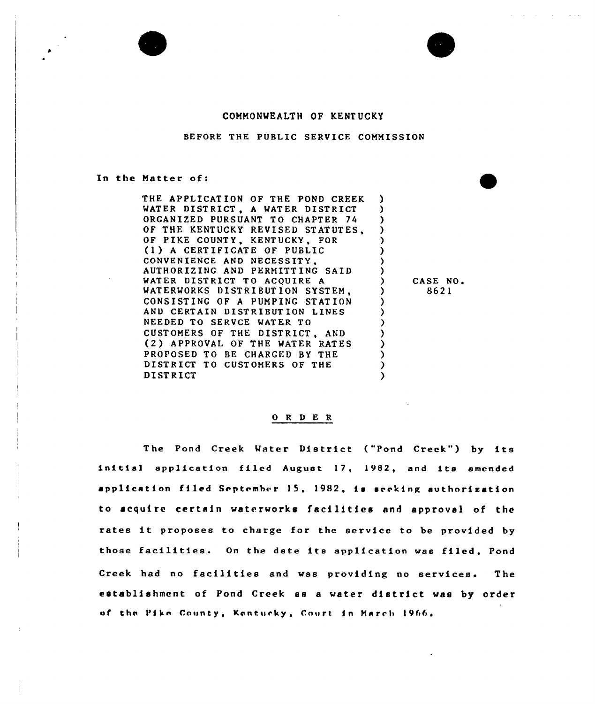## COMMONWEALTH OF KENTUCKY

BEFORE THE PUBLIC SERVICE COMMISSION

In the Matter of:

THE APPLICATION OF THE POND CREEK WATER DISTRICT, <sup>A</sup> WATER DISTRICT ORGANIZED PURSUANT TO CHAPTER 74 OF THE KENTUCKY REVISED STATUTES, OF PIKE COUNTY, KENTUCKY, FOR (1 ) <sup>A</sup> CERTIFICATE OF PUBLIC CONVENIENCE AND NECESSITY, AUTHORIZING AND PERMITTING SAID WATER DISTRICT TO ACQUIRE <sup>A</sup> WATERWORKS DISTRIBUTION SYSTEM. CONSISTING OF <sup>A</sup> PUMPING STATION AND CERTAIN DISTRIBUTION LINES NEEDED TO SERVCE WATER TO CUSTOMERS OF THE DISTRICT, AND (2 ) APPROVAL OF THE WATER RATES PROPOSED TO BE CHARGED BY THE DISTRICT TO CUSTOMERS OF THE **DISTRICT** ) ) ) ) ) ) ) )<br>) ) ) ) ) ) ) ) )

) CASE NO. ) 8621

#### O R D E R

The Pond Creek Water District ("Pond Creek") by its initial application filed August 17, 1982, and its amended application filed September 15, 1982, is seeking authorization to acquire certain waterworks facilities and approval of the rates it proposes to charge for the service to be provided by those facilities. On the date its application was filed, Pond Creek had no facilities and was providing no services. The establishment of Pond Creek as <sup>a</sup> water district was by order of the Pike County, Kentucky, Court in March 1966.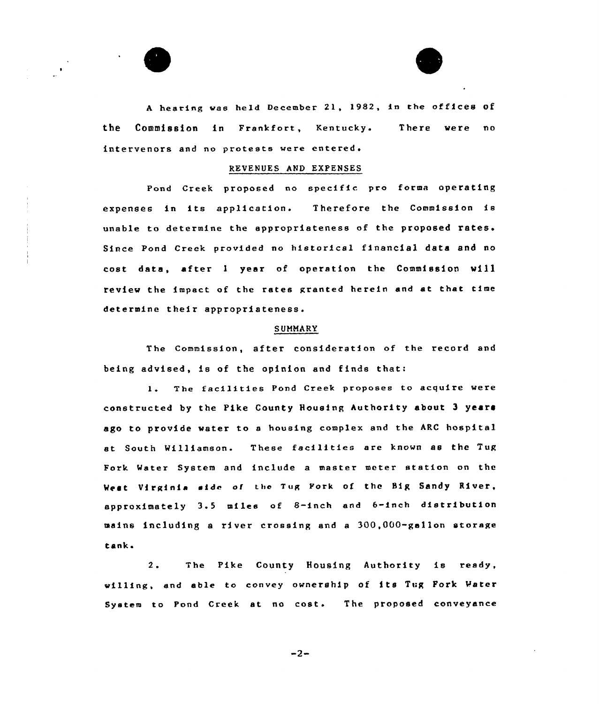



<sup>A</sup> hearing wae held December 21, 1982, in the of fices of the Commission in Frankfort, Kentucky. intervenors and no protests were entered. There were no

## REVENUES AND EXPENSES

Pond Creek proposed no specific pro forma operating expenses in its application. Therefore the Commission is unable to determine the appropriateness of the proposed rates. Since Pond Creek provided no historical financial data and no cost data, after <sup>1</sup> year of operation the Commission will review the impact of the rates granted herein and at that time determine their appropriateness.

### **SUMMARY**

The Commission, after consideration of the record and being advised, is of the opinion snd finds that:

The fecilitiee Pond Creek propoeee to acquire were  $1.1$ constructed by the Pike County Housing Authority about 3 years ago to provide water to e housing complex and the ARC hospital et South Milliameon. These facilities are known as the Tug Fork Meter System and include a master meter station on the West Virginia side of the Tug Fork of the Big Sandy River, approximately 3.5 miles of 8-inch end 6-inch distribution mains including a river crossing and <sup>a</sup> 300,000-gallon storage tank <sup>~</sup>

2. The Pike County Housing Authority is ready, villing, end able to convey ownership of its Tug Fork Mater System to Pond Creek at no cost. The proposed conveyance

 $-2-$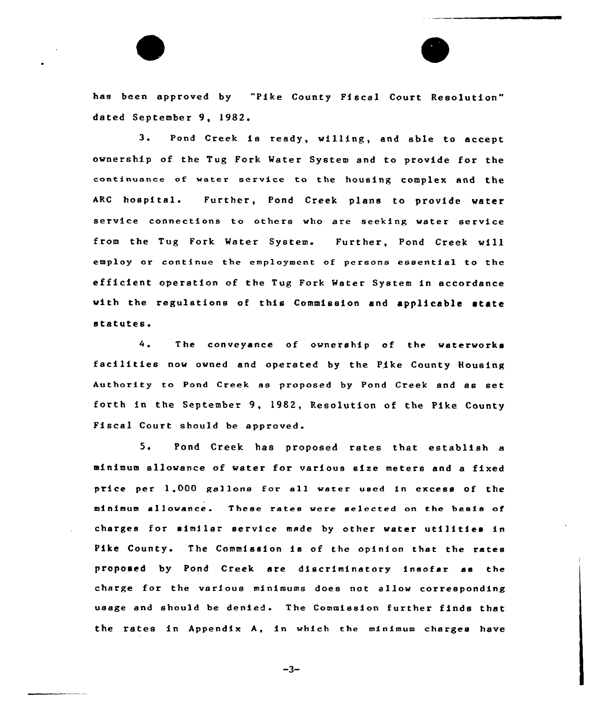has been approved by "Pike County Fiscal Court Resolution" dated September 9, 1982.

3. Pond Creek is ready, willing, and able to accept ownership of the Tug Fork Water System and to provide for the continuance of weter service to the housing complex and the ARC hospital. Further, Pond Creek plans to provide water service connections to others who are seeking water service from the Tug Fork Water System. Further, Pond Creek will employ or continue the employment of persons essential to the efficient operation of the Tug Fork Water System in accordance with the regulations of this Commission and applicable state statutes.

The conveyance of ownership of the waterworks 4. facilities now owned and operated by the Pike County Rousing Authority to Pond Creek as proposed by Pond Creek and as set forth in the September 9, 1982, Resolution of the Pike County Fiscal Court should be approved.

5. Pond Creek has proposed rates that establish <sup>a</sup> minimum allowance of water for various size meters and a fixed price per 1,000 gallons for all water used in excess of the minimum allowance. These rates were selected on the basis of charges for similar service made by other water utilities in Pike County. The Commission is of the opinion that the rates proposed by Pond Creek are discriminatory insofar ss the charge for the various minimums does not allow corresponding usage and should be denied. The Commission further finds that the rates in Appendix A, in which the minimum charges have

 $-3-$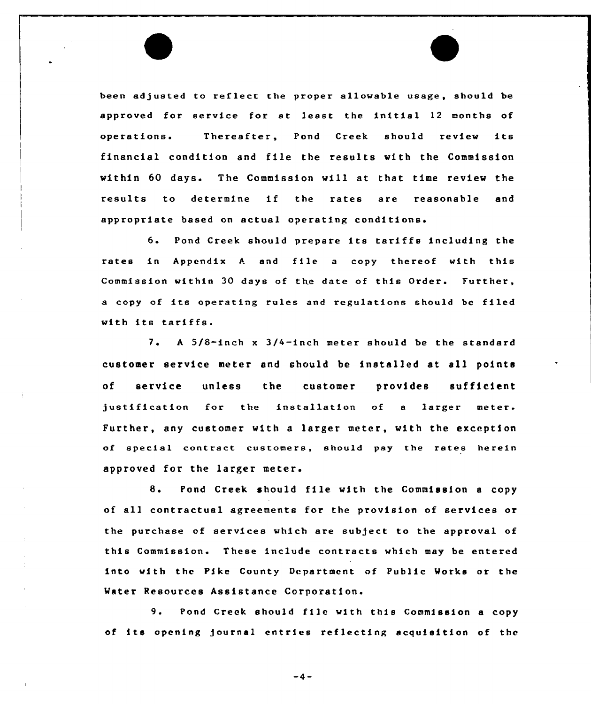been adjusted to reflect the proper allowable usage, should be approved for service for at least the initial <sup>12</sup> months of operations. Thereafter, Pond Creek should review its financial condition and file the results with the Commission within 60 days. The Commission will at that time review the results to determine if the rates are reasonable and appropriate based on actual operating are reasonable

6. Pond Creek should prepare its tariffs including the rates in Appendix A and file a copy thereof with this Commission within 30 days of the date of this Order. Further, <sup>a</sup> copy of its operating rules and regulations should be filed with its tariffs.

<sup>A</sup> 5/8-inch x 3/4-inch meter should be the standard  $7.$ customer service meter and should be installed at sll points of service unless the customer provides sufficient justification for the installation of <sup>a</sup> larger meter. Further, any customer with a larger meter, with the exception of special contract customers, should pay the rates herein approved for the larger meter.

8. Pond Creek should file with the Commission <sup>a</sup> copy of all contractual agreements for the provision of services or the purchase of services which are subject to the approval of this Commission. These include contracts which may be entered into with the Pike County Department of Public Works or the Water Resources Assistance Corporation.

9. Pond Creek should file with this Commission <sup>a</sup> copy of its opening journal entries reflecting acquisition of the

 $-4-$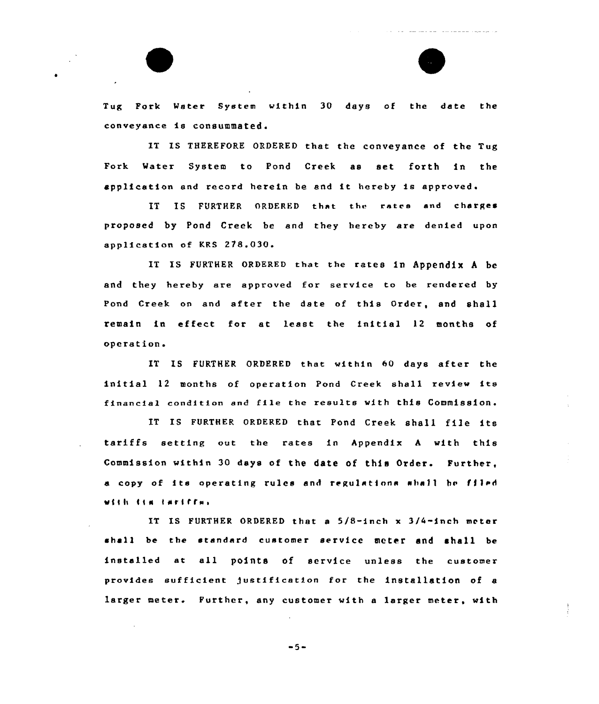

IT IS THEREFORE ORDERED that the conveyance of the Tug Fork Water System to Pond Creek as set forth in the application and record herein be end it hereby is approved.

IT IS FURTHER ORDERED that the rates snd charges proposed by Pond Creek be and they hereby are denied upon application of KRS 278.030.

IT Is FURTHER oRDERED that the rates in APPendix <sup>A</sup> be and they hereby are approved for service to be rendered by Pond Creek on and after the date of this Order, and shall remain in effect for at least the initial 12 months of operation.

XT IS FURTHER ORDERED that within 60 days after the initial <sup>12</sup> months of operation Pond Creek shall review its financial condition and file the results with this Commission.

IT IS FURTHER ORDERED that Pond Creek shall file its tariffs setting out the rates in Appendix <sup>A</sup> with this Commission within 30 days of the date of this Order. Further, <sup>a</sup> copy of its operating rules and regulations sha11 hc filed week fear twelffsi.

IT IS FURTHER ORDERED that a  $5/8$ -inch x  $3/4$ -inch meter shall be the standard customer service meter and shall be installed at all points of service unless the customer provides sufficient Justification for the installation of <sup>a</sup> larger meter. Further, any customer with <sup>a</sup> larger meter, with

$$
-5-
$$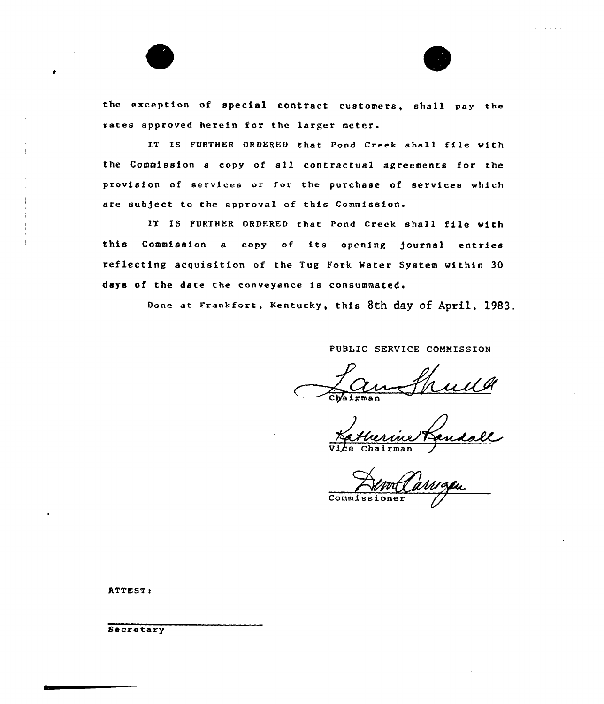

 $\frac{1}{4}$ 



the exception of special contract customers, shall pay the rates approved herein for the larger meter.

IT IS FURTHER ORDERED that Pond Creek shall file with the Commission <sup>a</sup> copy of all contractual agreements for the provision of services or for the purchase of services which ere subject to the approval of this Commission.

IT XS FURTHER DRDERED that Pond Creek shall file with this Commission a copy of its opening journal entries reflecting acquisition of the Tug Fork Mater System within 30 days of the date the conveyance is consummated.

Done at Frankfort, Kentucky, this 8th day of April, 1983.

PUBLIC SERVICE COMMISSION

Nevelance 17

**Commissioner** 

ATTEST:

**Secretary**